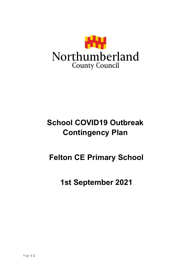

# **School COVID19 Outbreak Contingency Plan**

# **Felton CE Primary School**

## **1st September 2021**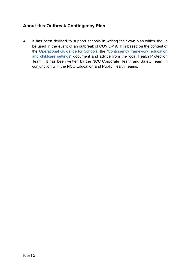## **About this Outbreak Contingency Plan**

● It has been devised to support schools in writing their own plan which should be used in the event of an outbreak of COVID-19. It is based on the content of the [Operational](https://www.gov.uk/government/publications/actions-for-schools-during-the-coronavirus-outbreak/schools-covid-19-operational-guidance) Guidance for Schools, the ["Contingency](https://www.gov.uk/government/publications/coronavirus-covid-19-local-restrictions-in-education-and-childcare-settings/contingency-framework-education-and-childcare-settings) framework: education and [childcare](https://www.gov.uk/government/publications/coronavirus-covid-19-local-restrictions-in-education-and-childcare-settings/contingency-framework-education-and-childcare-settings) settings" document and advice from the local Health Protection Team. It has been written by the NCC Corporate Health and Safety Team, in conjunction with the NCC Education and Public Health Teams.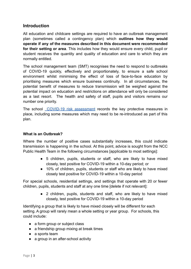### **Introduction**

All education and childcare settings are required to have an outbreak management plan (sometimes called a contingency plan) which **outlines how they would operate if any of the measures described in this document were recommended for their setting or area**. This includes how they would ensure every child, pupil or student receives the quantity and quality of education and care to which they are normally entitled.

The school management team (SMT) recognises the need to respond to outbreaks of COVID-19 quickly, effectively and proportionately, to ensure a safe school environment whilst minimising the effect of loss of face-to-face education by prioritising measures which ensure business continuity. In all circumstances, the potential benefit of measures to reduce transmission will be weighed against the potential impact on education and restrictions on attendance will only be considered as a last resort. The health and safety of staff, pupils and visitors remains our number one priority.

The school COVID-19 risk [assessment](https://docs.google.com/document/d/1fnxAGNjI66XD71IRAemXAwCKImNSsE5BmSlt9_YCrjk/edit) records the key protective measures in place, including some measures which may need to be re-introduced as part of this plan.

#### **What is an Outbreak?**

Where the number of positive cases substantially increases, this could indicate transmission is happening in the school. At this point, advice is sought from the NCC Public Health Team in the following circumstances [applicable to most settings]:

- 5 children, pupils, students or staff, who are likely to have mixed closely, test positive for COVID-19 within a 10-day period; or
- 10% of children, pupils, students or staff who are likely to have mixed closely test positive for COVID-19 within a 10-day period

For special schools, residential settings, and settings that operate with 20 or fewer children, pupils, students and staff at any one time [delete if not relevant]:

> • 2 children, pupils, students and staff, who are likely to have mixed closely, test positive for COVID-19 within a 10-day period

Identifying a group that is likely to have mixed closely will be different for each setting. A group will rarely mean a whole setting or year group. For schools, this could include:

- a form group or subject class
- a friendship group mixing at break times
- a sports team
- a group in an after-school activity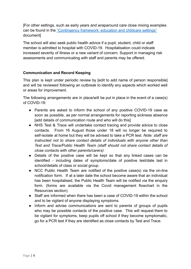[For other settings, such as early years and wraparound care close mixing examples can be found in the ["Contingency framework: education](https://www.gov.uk/government/publications/coronavirus-covid-19-local-restrictions-in-education-and-childcare-settings/contingency-framework-education-and-childcare-settings) and childcare settings" document]

The school will also seek public health advice if a pupil, student, child or staff member is admitted to hospital with COVID-19. Hospitalisation could indicate increased severity of illness or a new variant of concern. Support in managing risk assessments and communicating with staff and parents may be offered.

#### **Communication and Record Keeping**

This plan is kept under periodic review by [edit to add name of person responsible] and will be reviewed following an outbreak to identify any aspects which worked well or areas for improvement.

The following arrangements are in place/will be put in place in the event of a case(s) of COVID-19:

- Parents are asked to inform the school of any positive COVID-19 case as soon as possible, as per normal arrangements for reporting sickness absence [add details of communication route and who will do this]
- NHS Test & Trace will undertake contact tracing and provide advice to close contacts. From 16 August those under 18 will no longer be required to self-isolate at home but they will be advised to take a PCR test. *Note: staff are instructed not to share contact details of individuals with anyone other than Test and Trace/Public Health Team (staff should not share contact details of close contacts with other parents/carers)*
- Details of the positive case will be kept so that any linked cases can be identified - including dates of symptoms/date of positive test/date last in school/details of class or social group.
- NCC Public Health Team are notified of the positive case(s) via the on-line notification form. If at a later date the school become aware that an individual has been hospitalised, the Public Health Team will be notified via the enquiry form. (forms are available via the Covid management flowchart in the Resources section)
- Staff are informed when there has been a case of COVID-19 within the school and to be vigilant of anyone displaying symptoms.
- Inform and advise communications are sent to parents of groups of pupils who may be possible contacts of the positive case. This will request them to be vigilant for symptoms, keep pupils off school if they become symptomatic, go for a PCR test if they are identified as close contacts by Test and Trace.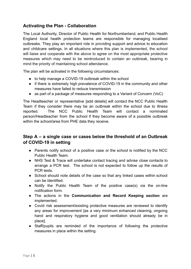## **Activating the Plan - Collaboration**

The Local Authority, Director of Public Health for Northumberland, and Public Health England local health protection teams are responsible for managing localised outbreaks. They play an important role in providing support and advice to education and childcare settings. In all situations where this plan is implemented, the school will liaise and cooperate with the above to agree on the most appropriate protective measures which may need to be reintroduced to contain an outbreak, bearing in mind the priority of maintaining school attendance.

The plan will be activated in the following circumstances:

- to help manage a COVID-19 outbreak within the school
- if there is extremely high prevalence of COVID-19 in the community and other measures have failed to reduce transmission
- as part of a package of measures responding to a Variant of Concern (VoC)

The Headteacher or representative [add details] will contact the NCC Public Health Team if they consider there may be an outbreak within the school due to illness reported. The NCC Public Health Team will contact a nominated person/Headteacher from the school if they become aware of a possible outbreak within the school/area from PHE data they receive.

## **Step A – a single case or cases below the threshold of an Outbreak of COVID-19 in setting**

- Parents notify school of a positive case or the school is notified by the NCC Public Health Team.
- NHS Test & Trace will undertake contact tracing and advise close contacts to arrange a PCR test. The school is not expected to follow up the results of PCR tests.
- School should note details of the case so that any linked cases within school can be identified.
- Notify the Public Health Team of the positive case(s) via the on-line notification form.
- The actions in the **Communication and Record Keeping section** are implemented.
- Covid risk assessment/existing protective measures are reviewed to identify any areas for improvement [as a very minimum enhanced cleaning, ongoing hand and respiratory hygiene and good ventilation should already be in place].
- Staff/pupils are reminded of the importance of following the protective measures in place within the setting.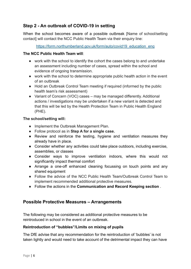## **Step 2 - An outbreak of COVID-19 in setting**

When the school becomes aware of a possible outbreak [Name of school/setting contact] will contact the NCC Public Health Team via their enquiry line:

[https://form.northumberland.gov.uk/form/auto/covid19\\_education\\_enq](https://form.northumberland.gov.uk/form/auto/covid19_education_enq)

#### **The NCC Public Health Team will**:

- work with the school to identify the cohort the cases belong to and undertake an assessment including number of cases, spread within the school and evidence of ongoing transmission.
- work with the school to determine appropriate public health action in the event of an outbreak
- Hold an Outbreak Control Team meeting if required (informed by the public health team's risk assessment)
- Variant of Concern (VOC) cases may be managed differently. Additional actions / investigations may be undertaken if a new variant is detected and that this will be led by the Health Protection Team in Public Health England (PHE).

#### **The school/setting will:**

- Implement the Outbreak Management Plan.
- Follow protocol as in **Step A for a single case.**
- Review and reinforce the testing, hygiene and ventilation measures they already have in place.
- Consider whether any activities could take place outdoors, including exercise, assemblies, or classes
- Consider ways to improve ventilation indoors, where this would not significantly impact thermal comfort
- Arrange a one-off enhanced cleaning focussing on touch points and any shared equipment
- Follow the advice of the NCC Public Health Team/Outbreak Control Team to implement recommended additional protective measures.
- Follow the actions in the **Communication and Record Keeping section** .

### **Possible Protective Measures – Arrangements**

The following may be considered as additional protective measures to be reintroduced in school in the event of an outbreak.

#### **Reintroduction of "bubbles"/Limits on mixing of pupils**

The DfE advise that any recommendation for the reintroduction of 'bubbles' is not taken lightly and would need to take account of the detrimental impact they can have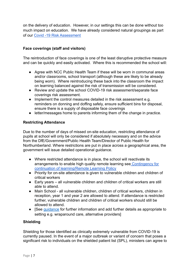on the delivery of education. However, in our settings this can be done without too much impact on education. We have already considered natural groupings as part of our [Covid -19 Risk Assessment](https://docs.google.com/document/d/1fnxAGNjI66XD71IRAemXAwCKImNSsE5BmSlt9_YCrjk/edit)

#### **Face coverings (staff and visitors)**

The reintroduction of face coverings is one of the least disruptive protective measure and can be quickly and easily activated. Where this is recommended the school will:

- Agree with NCC Public Health Team if these will be worn in communal areas and/or classrooms, school transport (although these are likely to be already being worn). Where reintroducing these back into the classroom the impact on learning balanced against the risk of transmission will be considered.
- Review and update the school COVID-19 risk assessment/separate face coverings risk assessment.
- Implement the control measures detailed in the risk assessment e.g. reminders on donning and doffing safely, ensure sufficient bins for disposal, ensure there is a supply of disposable face coverings
- letter/messages home to parents informing them of the change in practice.

#### **Restricting Attendance**

Due to the number of days of missed on-site education, restricting attendance of pupils at school will only be considered if absolutely necessary and on the advice from the DfE/Government/Public Health Team/Director of Public Health for Northumberland. Where restrictions are put in place across a geographical area, the government will issue detailed operational guidance.

- Where restricted attendance is in place, the school will reactivate its arrangements to enable high quality remote learning see [Contingency for](https://docs.google.com/document/d/1r16i0zEOtDDaKdNzBLsZSGHZwdQtd4nhnPn8djiErys/edit) [continuation of learning/Remote Learning Policy](https://docs.google.com/document/d/1r16i0zEOtDDaKdNzBLsZSGHZwdQtd4nhnPn8djiErys/edit)
- Priority for on-site attendance is given to vulnerable children and children of critical workers
- Early years all vulnerable children and children of critical workers are still able to attend.
- Main School all vulnerable children, children of critical workers, children in reception, year 1 and year 2 are allowed to attend. If attendance is restricted further, vulnerable children and children of critical workers should still be allowed to attend.
- [See [guidance](https://www.gov.uk/government/publications/coronavirus-covid-19-local-restrictions-in-education-and-childcare-settings/contingency-framework-education-and-childcare-settings) for further information and add further details as appropriate to setting e.g. wraparound care, alternative providers]

#### **Shielding**

Shielding for those identified as clinically extremely vulnerable from COVID-19 is currently paused. In the event of a major outbreak or variant of concern that poses a significant risk to individuals on the shielded patient list (SPL), ministers can agree to